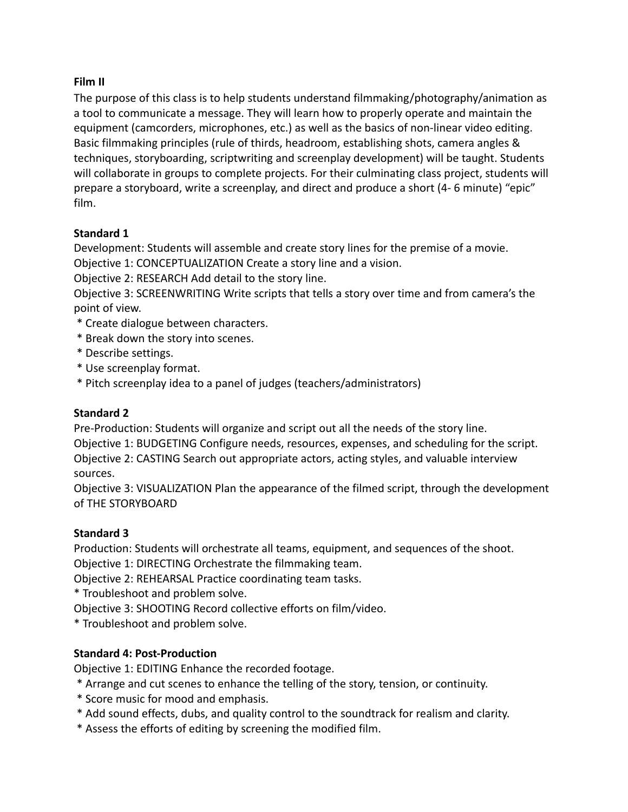### **Film II**

The purpose of this class is to help students understand filmmaking/photography/animation as a tool to communicate a message. They will learn how to properly operate and maintain the equipment (camcorders, microphones, etc.) as well as the basics of non-linear video editing. Basic filmmaking principles (rule of thirds, headroom, establishing shots, camera angles & techniques, storyboarding, scriptwriting and screenplay development) will be taught. Students will collaborate in groups to complete projects. For their culminating class project, students will prepare a storyboard, write a screenplay, and direct and produce a short (4- 6 minute) "epic" film.

### **Standard 1**

Development: Students will assemble and create story lines for the premise of a movie. Objective 1: CONCEPTUALIZATION Create a story line and a vision.

Objective 2: RESEARCH Add detail to the story line.

Objective 3: SCREENWRITING Write scripts that tells a story over time and from camera's the point of view.

- \* Create dialogue between characters.
- \* Break down the story into scenes.
- \* Describe settings.
- \* Use screenplay format.
- \* Pitch screenplay idea to a panel of judges (teachers/administrators)

### **Standard 2**

Pre-Production: Students will organize and script out all the needs of the story line.

Objective 1: BUDGETING Configure needs, resources, expenses, and scheduling for the script. Objective 2: CASTING Search out appropriate actors, acting styles, and valuable interview sources.

Objective 3: VISUALIZATION Plan the appearance of the filmed script, through the development of THE STORYBOARD

# **Standard 3**

Production: Students will orchestrate all teams, equipment, and sequences of the shoot.

Objective 1: DIRECTING Orchestrate the filmmaking team.

Objective 2: REHEARSAL Practice coordinating team tasks.

\* Troubleshoot and problem solve.

Objective 3: SHOOTING Record collective efforts on film/video.

\* Troubleshoot and problem solve.

# **Standard 4: Post-Production**

Objective 1: EDITING Enhance the recorded footage.

- \* Arrange and cut scenes to enhance the telling of the story, tension, or continuity.
- \* Score music for mood and emphasis.
- \* Add sound effects, dubs, and quality control to the soundtrack for realism and clarity.
- \* Assess the efforts of editing by screening the modified film.